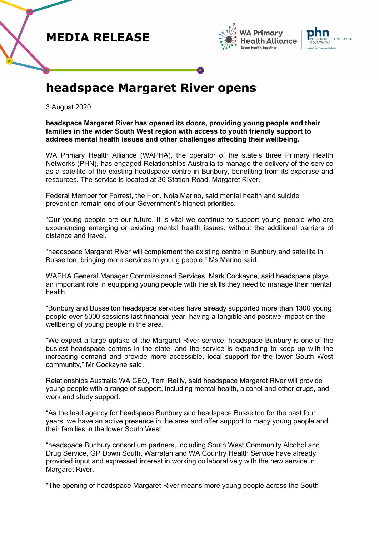





## **headspace Margaret River opens**

3 August 2020

**headspace Margaret River has opened its doors, providing young people and their families in the wider South West region with access to youth friendly support to address mental health issues and other challenges affecting their wellbeing.** 

WA Primary Health Alliance (WAPHA), the operator of the state's three Primary Health Networks (PHN), has engaged Relationships Australia to manage the delivery of the service as a satellite of the existing headspace centre in Bunbury, benefiting from its expertise and resources. The service is located at 36 Station Road, Margaret River.

Federal Member for Forrest, the Hon. Nola Marino, said mental health and suicide prevention remain one of our Government's highest priorities.

"Our young people are our future. It is vital we continue to support young people who are experiencing emerging or existing mental health issues, without the additional barriers of distance and travel.

"headspace Margaret River will complement the existing centre in Bunbury and satellite in Busselton, bringing more services to young people," Ms Marino said.

WAPHA General Manager Commissioned Services, Mark Cockayne, said headspace plays an important role in equipping young people with the skills they need to manage their mental health.

"Bunbury and Busselton headspace services have already supported more than 1300 young people over 5000 sessions last financial year, having a tangible and positive impact on the wellbeing of young people in the area.

"We expect a large uptake of the Margaret River service. headspace Bunbury is one of the busiest headspace centres in the state, and the service is expanding to keep up with the increasing demand and provide more accessible, local support for the lower South West community," Mr Cockayne said.

Relationships Australia WA CEO, Terri Reilly, said headspace Margaret River will provide young people with a range of support, including mental health, alcohol and other drugs, and work and study support.

"As the lead agency for headspace Bunbury and headspace Busselton for the past four years, we have an active presence in the area and offer support to many young people and their families in the lower South West.

"headspace Bunbury consortium partners, including South West Community Alcohol and Drug Service, GP Down South, Warratah and WA Country Health Service have already provided input and expressed interest in working collaboratively with the new service in Margaret River.

"The opening of headspace Margaret River means more young people across the South